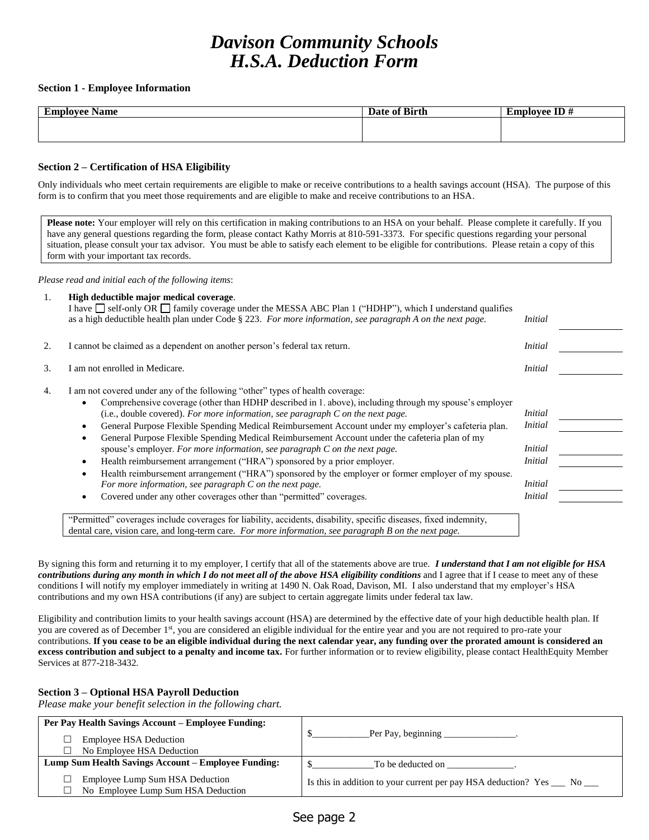# *Davison Community Schools H.S.A. Deduction Form*

## **Section 1 - Employee Information**

| $\overline{\phantom{0}}$<br>L'my<br>$-103700$ $\cdots$<br><b>Name</b><br>еппримес | Date of Birth | ID#<br>a'mmlawaa<br>டபட |
|-----------------------------------------------------------------------------------|---------------|-------------------------|
|                                                                                   |               |                         |
|                                                                                   |               |                         |

## **Section 2 – Certification of HSA Eligibility**

Only individuals who meet certain requirements are eligible to make or receive contributions to a health savings account (HSA). The purpose of this form is to confirm that you meet those requirements and are eligible to make and receive contributions to an HSA.

**Please note:** Your employer will rely on this certification in making contributions to an HSA on your behalf. Please complete it carefully. If you have any general questions regarding the form, please contact Kathy Morris at 810-591-3373. For specific questions regarding your personal situation, please consult your tax advisor. You must be able to satisfy each element to be eligible for contributions. Please retain a copy of this form with your important tax records.

*Please read and initial each of the following items*:

| 1. | High deductible major medical coverage.<br>I have $\Box$ self-only OR $\Box$ family coverage under the MESSA ABC Plan 1 ("HDHP"), which I understand qualifies<br>as a high deductible health plan under Code $\S 223$ . For more information, see paragraph A on the next page.                                                                                                                                                                                                                                                                                                                                                                                                                                                                                                                                                                                                                                                                                                                                                                   | <i>Initial</i>                                                                                    |  |
|----|----------------------------------------------------------------------------------------------------------------------------------------------------------------------------------------------------------------------------------------------------------------------------------------------------------------------------------------------------------------------------------------------------------------------------------------------------------------------------------------------------------------------------------------------------------------------------------------------------------------------------------------------------------------------------------------------------------------------------------------------------------------------------------------------------------------------------------------------------------------------------------------------------------------------------------------------------------------------------------------------------------------------------------------------------|---------------------------------------------------------------------------------------------------|--|
| 2. | I cannot be claimed as a dependent on another person's federal tax return.                                                                                                                                                                                                                                                                                                                                                                                                                                                                                                                                                                                                                                                                                                                                                                                                                                                                                                                                                                         | <i>Initial</i>                                                                                    |  |
| 3. | I am not enrolled in Medicare.                                                                                                                                                                                                                                                                                                                                                                                                                                                                                                                                                                                                                                                                                                                                                                                                                                                                                                                                                                                                                     | <i>Initial</i>                                                                                    |  |
| 4. | I am not covered under any of the following "other" types of health coverage:<br>Comprehensive coverage (other than HDHP described in 1. above), including through my spouse's employer<br>(i.e., double covered). For more information, see paragraph $C$ on the next page.<br>General Purpose Flexible Spending Medical Reimbursement Account under my employer's cafeteria plan.<br>٠<br>General Purpose Flexible Spending Medical Reimbursement Account under the cafeteria plan of my<br>٠<br>spouse's employer. For more information, see paragraph C on the next page.<br>Health reimbursement arrangement ("HRA") sponsored by a prior employer.<br>$\bullet$<br>Health reimbursement arrangement ("HRA") sponsored by the employer or former employer of my spouse.<br>$\bullet$<br>For more information, see paragraph $C$ on the next page.<br>Covered under any other coverages other than "permitted" coverages.<br>"Permitted" coverages include coverages for liability, accidents, disability, specific diseases, fixed indemnity, | <i>Initial</i><br><i>Initial</i><br><i>Initial</i><br><b>Initial</b><br><i>Initial</i><br>Initial |  |

dental care, vision care, and long-term care. *For more information, see paragraph B on the next page.*

By signing this form and returning it to my employer, I certify that all of the statements above are true. *I understand that I am not eligible for HSA contributions during any month in which I do not meet all of the above HSA eligibility conditions* and I agree that if I cease to meet any of these conditions I will notify my employer immediately in writing at 1490 N. Oak Road, Davison, MI. I also understand that my employer's HSA contributions and my own HSA contributions (if any) are subject to certain aggregate limits under federal tax law.

Eligibility and contribution limits to your health savings account (HSA) are determined by the effective date of your high deductible health plan. If you are covered as of December 1<sup>st</sup>, you are considered an eligible individual for the entire year and you are not required to pro-rate your contributions. **If you cease to be an eligible individual during the next calendar year, any funding over the prorated amount is considered an excess contribution and subject to a penalty and income tax.** For further information or to review eligibility, please contact HealthEquity Member Services at 877-218-3432.

# **Section 3 – Optional HSA Payroll Deduction**

*Please make your benefit selection in the following chart.*

| <b>Per Pay Health Savings Account – Employee Funding:</b><br><b>Employee HSA Deduction</b><br>No Employee HSA Deduction | Per Pay, beginning                                                       |
|-------------------------------------------------------------------------------------------------------------------------|--------------------------------------------------------------------------|
| Lump Sum Health Savings Account - Employee Funding:                                                                     | To be deducted on                                                        |
| Employee Lump Sum HSA Deduction<br>No Employee Lump Sum HSA Deduction                                                   | Is this in addition to your current per pay HSA deduction? Yes ___ No __ |